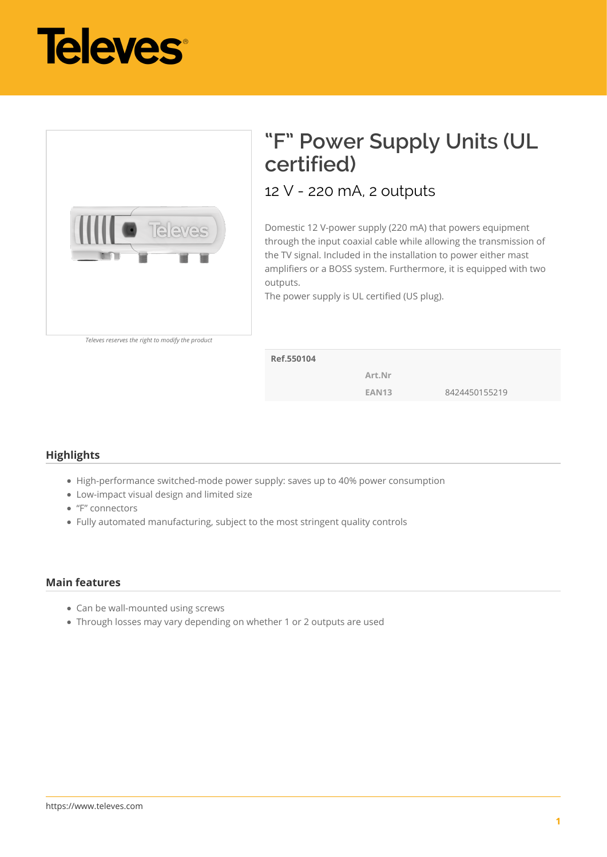



## **"F" Power Supply Units (UL certified)**

12 V - 220 mA, 2 outputs

Domestic 12 V-power supply (220 mA) that powers equipment through the input coaxial cable while allowing the transmission of the TV signal. Included in the installation to power either mast amplifiers or a BOSS system. Furthermore, it is equipped with two outputs.

The power supply is UL certified (US plug).

**Ref.550104**

**Art.Nr**

**EAN13** 8424450155219

## **Highlights**

- High-performance switched-mode power supply: saves up to 40% power consumption
- Low-impact visual design and limited size
- "F" connectors
- Fully automated manufacturing, subject to the most stringent quality controls

## **Main features**

- Can be wall-mounted using screws
- Through losses may vary depending on whether 1 or 2 outputs are used